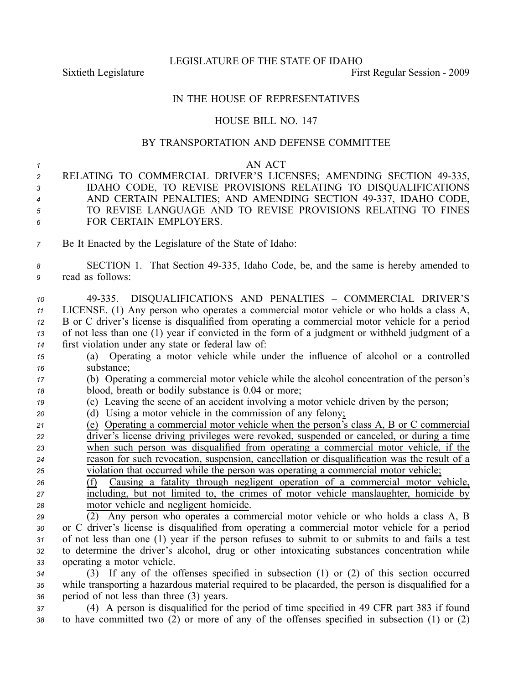LEGISLATURE OF THE STATE OF IDAHO

Sixtieth Legislature **First** Regular Session - 2009

# IN THE HOUSE OF REPRESENTATIVES

# HOUSE BILL NO. 147

### BY TRANSPORTATION AND DEFENSE COMMITTEE

#### *<sup>1</sup>* AN ACT

- *<sup>2</sup>* RELATING TO COMMERCIAL DRIVER'S LICENSES; AMENDING SECTION 49335, *<sup>3</sup>* IDAHO CODE, TO REVISE PROVISIONS RELATING TO DISQUALIFICATIONS *<sup>4</sup>* AND CERTAIN PENALTIES; AND AMENDING SECTION 49337, IDAHO CODE, *<sup>5</sup>* TO REVISE LANGUAGE AND TO REVISE PROVISIONS RELATING TO FINES *6* FOR CERTAIN EMPLOYERS.
- *<sup>7</sup>* Be It Enacted by the Legislature of the State of Idaho:

# *<sup>8</sup>* SECTION 1. That Section 49335, Idaho Code, be, and the same is hereby amended to *<sup>9</sup>* read as follows:

 49335. DISQUALIFICATIONS AND PENALTIES – COMMERCIAL DRIVER'S LICENSE. (1) Any person who operates <sup>a</sup> commercial motor vehicle or who holds <sup>a</sup> class A, B or C driver's license is disqualified from operating <sup>a</sup> commercial motor vehicle for <sup>a</sup> period of not less than one (1) year if convicted in the form of <sup>a</sup> judgment or withheld judgment of <sup>a</sup> first violation under any state or federal law of:

- *<sup>15</sup>* (a) Operating <sup>a</sup> motor vehicle while under the influence of alcohol or <sup>a</sup> controlled *<sup>16</sup>* substance;
- *<sup>17</sup>* (b) Operating <sup>a</sup> commercial motor vehicle while the alcohol concentration of the person's *<sup>18</sup>* blood, breath or bodily substance is 0.04 or more;
- *<sup>19</sup>* (c) Leaving the scene of an accident involving <sup>a</sup> motor vehicle driven by the person;
- *<sup>20</sup>* (d) Using <sup>a</sup> motor vehicle in the commission of any felony;
- *<sup>21</sup>* (e) Operating <sup>a</sup> commercial motor vehicle when the person's class A, B or C commercial *<sup>22</sup>* driver's license driving privileges were revoked, suspended or canceled, or during <sup>a</sup> time *<sup>23</sup>* when such person was disqualified from operating <sup>a</sup> commercial motor vehicle, if the *<sup>24</sup>* reason for such revocation, suspension, cancellation or disqualification was the result of <sup>a</sup> *<sup>25</sup>* violation that occurred while the person was operating <sup>a</sup> commercial motor vehicle;
- *<sup>26</sup>* (f) Causing <sup>a</sup> fatality through negligent operation of <sup>a</sup> commercial motor vehicle, *<sup>27</sup>* including, but not limited to, the crimes of motor vehicle manslaughter, homicide by *<sup>28</sup>* motor vehicle and negligent homicide.

 (2) Any person who operates <sup>a</sup> commercial motor vehicle or who holds <sup>a</sup> class A, B or C driver's license is disqualified from operating <sup>a</sup> commercial motor vehicle for <sup>a</sup> period of not less than one (1) year if the person refuses to submit to or submits to and fails <sup>a</sup> test to determine the driver's alcohol, drug or other intoxicating substances concentration while operating <sup>a</sup> motor vehicle.

*<sup>34</sup>* (3) If any of the offenses specified in subsection (1) or (2) of this section occurred *<sup>35</sup>* while transporting <sup>a</sup> hazardous material required to be placarded, the person is disqualified for <sup>a</sup> *<sup>36</sup>* period of not less than three (3) years.

*<sup>37</sup>* (4) A person is disqualified for the period of time specified in 49 CFR par<sup>t</sup> 383 if found *<sup>38</sup>* to have committed two (2) or more of any of the offenses specified in subsection (1) or (2)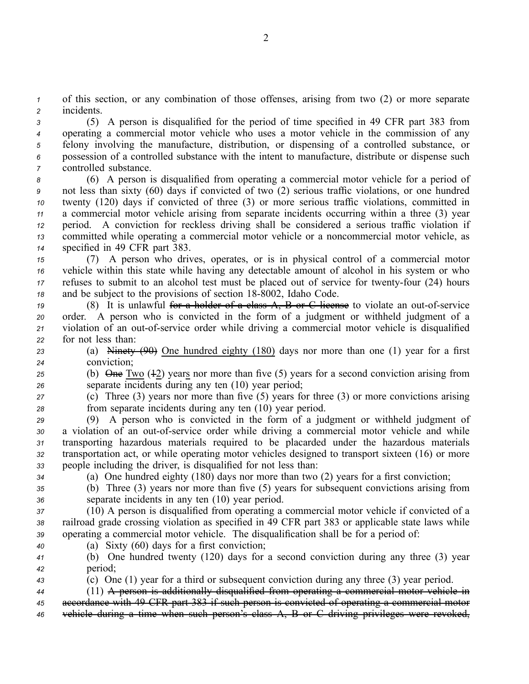*<sup>1</sup>* of this section, or any combination of those offenses, arising from two (2) or more separate *<sup>2</sup>* incidents.

 (5) A person is disqualified for the period of time specified in 49 CFR par<sup>t</sup> 383 from operating <sup>a</sup> commercial motor vehicle who uses <sup>a</sup> motor vehicle in the commission of any felony involving the manufacture, distribution, or dispensing of <sup>a</sup> controlled substance, or possession of <sup>a</sup> controlled substance with the intent to manufacture, distribute or dispense such controlled substance.

- *<sup>8</sup>* (6) A person is disqualified from operating <sup>a</sup> commercial motor vehicle for <sup>a</sup> period of *<sup>9</sup>* not less than sixty (60) days if convicted of two (2) serious traffic violations, or one hundred *<sup>10</sup>* twenty (120) days if convicted of three (3) or more serious traffic violations, committed in *<sup>11</sup>* <sup>a</sup> commercial motor vehicle arising from separate incidents occurring within <sup>a</sup> three (3) year *<sup>12</sup>* period. A conviction for reckless driving shall be considered <sup>a</sup> serious traffic violation if *<sup>13</sup>* committed while operating <sup>a</sup> commercial motor vehicle or <sup>a</sup> noncommercial motor vehicle, as *<sup>14</sup>* specified in 49 CFR par<sup>t</sup> 383.
- *<sup>15</sup>* (7) A person who drives, operates, or is in physical control of <sup>a</sup> commercial motor *<sup>16</sup>* vehicle within this state while having any detectable amount of alcohol in his system or who *17* refuses to submit to an alcohol test must be placed out of service for twenty-four (24) hours *18* and be subject to the provisions of section 18-8002, Idaho Code.
- 19 (8) It is unlawful for a holder of a class A, B or C license to violate an out-of-service *<sup>20</sup>* order. A person who is convicted in the form of <sup>a</sup> judgment or withheld judgment of <sup>a</sup> 21 violation of an out-of-service order while driving a commercial motor vehicle is disqualified *<sup>22</sup>* for not less than:
- *<sup>23</sup>* (a) Ninety (90) One hundred eighty (180) days nor more than one (1) year for <sup>a</sup> first *<sup>24</sup>* conviction;
- 25 (b)  $\Theta$ **ne** Two (42) years nor more than five (5) years for a second conviction arising from *<sup>26</sup>* separate incidents during any ten (10) year period;
- *<sup>27</sup>* (c) Three (3) years nor more than five (5) years for three (3) or more convictions arising *<sup>28</sup>* from separate incidents during any ten (10) year period.

 (9) A person who is convicted in the form of <sup>a</sup> judgment or withheld judgment of 30 a violation of an out-of-service order while driving a commercial motor vehicle and while transporting hazardous materials required to be placarded under the hazardous materials transportation act, or while operating motor vehicles designed to transport sixteen (16) or more people including the driver, is disqualified for not less than:

- 
- *<sup>34</sup>* (a) One hundred eighty (180) days nor more than two (2) years for <sup>a</sup> first conviction;
- *<sup>35</sup>* (b) Three (3) years nor more than five (5) years for subsequent convictions arising from *<sup>36</sup>* separate incidents in any ten (10) year period.
- *<sup>37</sup>* (10) A person is disqualified from operating <sup>a</sup> commercial motor vehicle if convicted of <sup>a</sup> *<sup>38</sup>* railroad grade crossing violation as specified in 49 CFR par<sup>t</sup> 383 or applicable state laws while *<sup>39</sup>* operating <sup>a</sup> commercial motor vehicle. The disqualification shall be for <sup>a</sup> period of:
- *<sup>40</sup>* (a) Sixty (60) days for <sup>a</sup> first conviction;
- *<sup>41</sup>* (b) One hundred twenty (120) days for <sup>a</sup> second conviction during any three (3) year *<sup>42</sup>* period;
- *<sup>43</sup>* (c) One (1) year for <sup>a</sup> third or subsequent conviction during any three (3) year period.
- *<sup>44</sup>* (11) A person is additionally disqualified from operating <sup>a</sup> commercial motor vehicle in
- *<sup>45</sup>* accordance with 49 CFR par<sup>t</sup> 383 if such person is convicted of operating <sup>a</sup> commercial motor
- *<sup>46</sup>* vehicle during <sup>a</sup> time when such person's class A, B or C driving privileges were revoked,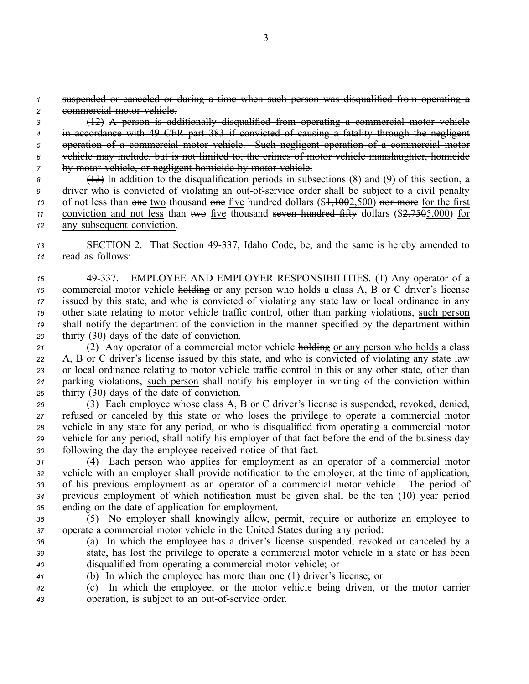*<sup>1</sup>* suspended or canceled or during <sup>a</sup> time when such person was disqualified from operating <sup>a</sup> *<sup>2</sup>* commercial motor vehicle.

 (12) A person is additionally disqualified from operating <sup>a</sup> commercial motor vehicle in accordance with 49 CFR par<sup>t</sup> 383 if convicted of causing <sup>a</sup> fatality through the negligent operation of <sup>a</sup> commercial motor vehicle. Such negligent operation of <sup>a</sup> commercial motor vehicle may include, but is not limited to, the crimes of motor vehicle manslaughter, homicide by motor vehicle, or negligent homicide by motor vehicle.

 (13) In addition to the disqualification periods in subsections (8) and (9) of this section, <sup>a</sup> driver who is convicted of violating an out-of-service order shall be subject to a civil penalty 10 of not less than one two thousand one five hundred dollars (\$<del>1,100</del>2,500) nor more for the first conviction and not less than two five thousand seven hundred fifty dollars  $(\frac{27505}{000})$  for any subsequent conviction.

*<sup>13</sup>* SECTION 2. That Section 49337, Idaho Code, be, and the same is hereby amended to *<sup>14</sup>* read as follows:

 49337. EMPLOYEE AND EMPLOYER RESPONSIBILITIES. (1) Any operator of <sup>a</sup> commercial motor vehicle holding or any person who holds <sup>a</sup> class A, B or C driver's license issued by this state, and who is convicted of violating any state law or local ordinance in any other state relating to motor vehicle traffic control, other than parking violations, such person shall notify the department of the conviction in the manner specified by the department within thirty (30) days of the date of conviction.

 (2) Any operator of <sup>a</sup> commercial motor vehicle holding or any person who holds <sup>a</sup> class A, B or C driver's license issued by this state, and who is convicted of violating any state law or local ordinance relating to motor vehicle traffic control in this or any other state, other than parking violations, such person shall notify his employer in writing of the conviction within thirty (30) days of the date of conviction.

 (3) Each employee whose class A, B or C driver's license is suspended, revoked, denied, refused or canceled by this state or who loses the privilege to operate <sup>a</sup> commercial motor vehicle in any state for any period, or who is disqualified from operating <sup>a</sup> commercial motor vehicle for any period, shall notify his employer of that fact before the end of the business day following the day the employee received notice of that fact.

 (4) Each person who applies for employment as an operator of <sup>a</sup> commercial motor vehicle with an employer shall provide notification to the employer, at the time of application, of his previous employment as an operator of <sup>a</sup> commercial motor vehicle. The period of previous employment of which notification must be given shall be the ten (10) year period ending on the date of application for employment.

*<sup>36</sup>* (5) No employer shall knowingly allow, permit, require or authorize an employee to *<sup>37</sup>* operate <sup>a</sup> commercial motor vehicle in the United States during any period:

- *<sup>38</sup>* (a) In which the employee has <sup>a</sup> driver's license suspended, revoked or canceled by <sup>a</sup> *<sup>39</sup>* state, has lost the privilege to operate <sup>a</sup> commercial motor vehicle in <sup>a</sup> state or has been *<sup>40</sup>* disqualified from operating <sup>a</sup> commercial motor vehicle; or
- *<sup>41</sup>* (b) In which the employee has more than one (1) driver's license; or

*<sup>42</sup>* (c) In which the employee, or the motor vehicle being driven, or the motor carrier 43 operation, is subject to an out-of-service order.